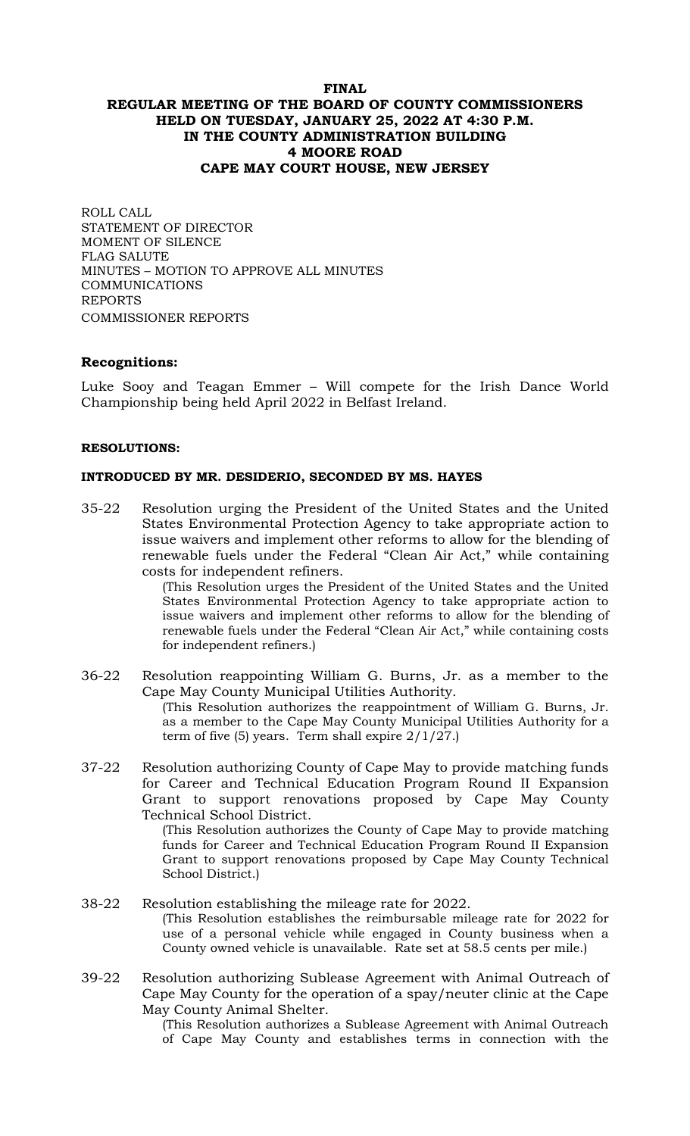# **FINAL REGULAR MEETING OF THE BOARD OF COUNTY COMMISSIONERS HELD ON TUESDAY, JANUARY 25, 2022 AT 4:30 P.M. IN THE COUNTY ADMINISTRATION BUILDING 4 MOORE ROAD CAPE MAY COURT HOUSE, NEW JERSEY**

ROLL CALL STATEMENT OF DIRECTOR MOMENT OF SILENCE FLAG SALUTE MINUTES – MOTION TO APPROVE ALL MINUTES COMMUNICATIONS REPORTS COMMISSIONER REPORTS

### **Recognitions:**

Luke Sooy and Teagan Emmer – Will compete for the Irish Dance World Championship being held April 2022 in Belfast Ireland.

#### **RESOLUTIONS:**

#### **INTRODUCED BY MR. DESIDERIO, SECONDED BY MS. HAYES**

35-22 Resolution urging the President of the United States and the United States Environmental Protection Agency to take appropriate action to issue waivers and implement other reforms to allow for the blending of renewable fuels under the Federal "Clean Air Act," while containing costs for independent refiners.

(This Resolution urges the President of the United States and the United States Environmental Protection Agency to take appropriate action to issue waivers and implement other reforms to allow for the blending of renewable fuels under the Federal "Clean Air Act," while containing costs for independent refiners.)

- 36-22 Resolution reappointing William G. Burns, Jr. as a member to the Cape May County Municipal Utilities Authority. (This Resolution authorizes the reappointment of William G. Burns, Jr. as a member to the Cape May County Municipal Utilities Authority for a term of five  $(5)$  years. Term shall expire  $2/1/27$ .
- 37-22 Resolution authorizing County of Cape May to provide matching funds for Career and Technical Education Program Round II Expansion Grant to support renovations proposed by Cape May County Technical School District.

(This Resolution authorizes the County of Cape May to provide matching funds for Career and Technical Education Program Round II Expansion Grant to support renovations proposed by Cape May County Technical School District.)

- 38-22 Resolution establishing the mileage rate for 2022. (This Resolution establishes the reimbursable mileage rate for 2022 for use of a personal vehicle while engaged in County business when a County owned vehicle is unavailable. Rate set at 58.5 cents per mile.)
- 39-22 Resolution authorizing Sublease Agreement with Animal Outreach of Cape May County for the operation of a spay/neuter clinic at the Cape May County Animal Shelter.

(This Resolution authorizes a Sublease Agreement with Animal Outreach of Cape May County and establishes terms in connection with the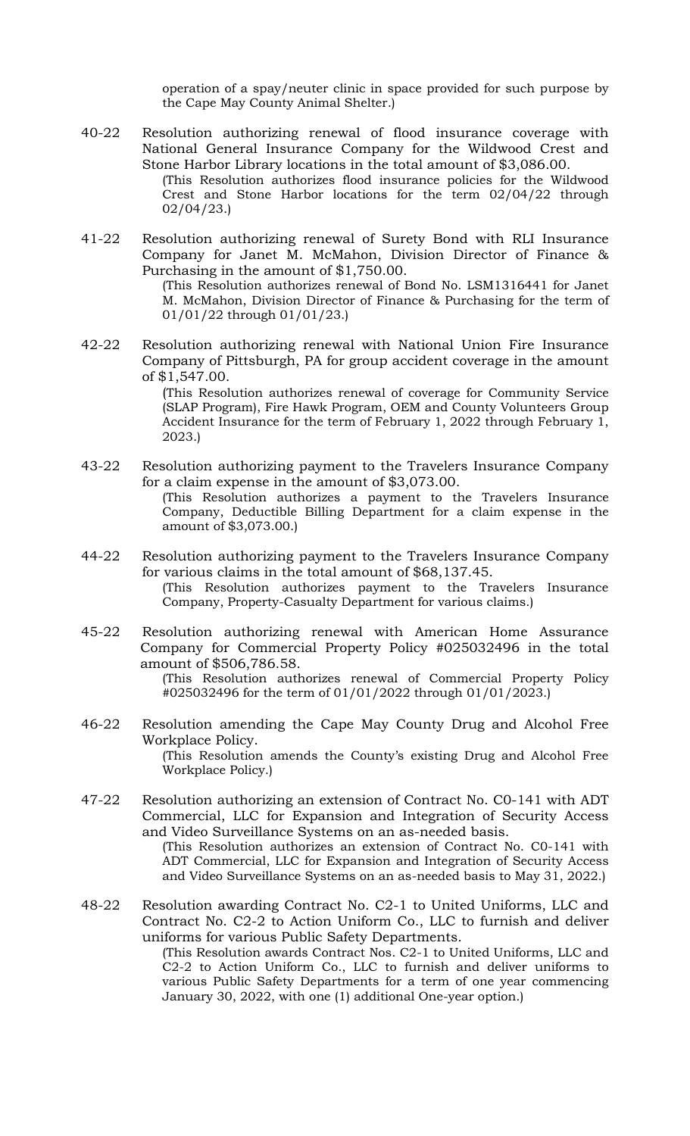operation of a spay/neuter clinic in space provided for such purpose by the Cape May County Animal Shelter.)

- 40-22 Resolution authorizing renewal of flood insurance coverage with National General Insurance Company for the Wildwood Crest and Stone Harbor Library locations in the total amount of \$3,086.00. (This Resolution authorizes flood insurance policies for the Wildwood Crest and Stone Harbor locations for the term 02/04/22 through 02/04/23.)
- 41-22 Resolution authorizing renewal of Surety Bond with RLI Insurance Company for Janet M. McMahon, Division Director of Finance & Purchasing in the amount of \$1,750.00.

(This Resolution authorizes renewal of Bond No. LSM1316441 for Janet M. McMahon, Division Director of Finance & Purchasing for the term of 01/01/22 through 01/01/23.)

42-22 Resolution authorizing renewal with National Union Fire Insurance Company of Pittsburgh, PA for group accident coverage in the amount of \$1,547.00.

> (This Resolution authorizes renewal of coverage for Community Service (SLAP Program), Fire Hawk Program, OEM and County Volunteers Group Accident Insurance for the term of February 1, 2022 through February 1, 2023.)

- 43-22 Resolution authorizing payment to the Travelers Insurance Company for a claim expense in the amount of \$3,073.00. (This Resolution authorizes a payment to the Travelers Insurance Company, Deductible Billing Department for a claim expense in the amount of \$3,073.00.)
- 44-22 Resolution authorizing payment to the Travelers Insurance Company for various claims in the total amount of \$68,137.45. (This Resolution authorizes payment to the Travelers Insurance Company, Property-Casualty Department for various claims.)
- 45-22 Resolution authorizing renewal with American Home Assurance Company for Commercial Property Policy #025032496 in the total amount of \$506,786.58.

(This Resolution authorizes renewal of Commercial Property Policy #025032496 for the term of 01/01/2022 through 01/01/2023.)

- 46-22 Resolution amending the Cape May County Drug and Alcohol Free Workplace Policy. (This Resolution amends the County's existing Drug and Alcohol Free Workplace Policy.)
- 47-22 Resolution authorizing an extension of Contract No. C0-141 with ADT Commercial, LLC for Expansion and Integration of Security Access and Video Surveillance Systems on an as-needed basis.

(This Resolution authorizes an extension of Contract No. C0-141 with ADT Commercial, LLC for Expansion and Integration of Security Access and Video Surveillance Systems on an as-needed basis to May 31, 2022.)

48-22 Resolution awarding Contract No. C2-1 to United Uniforms, LLC and Contract No. C2-2 to Action Uniform Co., LLC to furnish and deliver uniforms for various Public Safety Departments.

(This Resolution awards Contract Nos. C2-1 to United Uniforms, LLC and C2-2 to Action Uniform Co., LLC to furnish and deliver uniforms to various Public Safety Departments for a term of one year commencing January 30, 2022, with one (1) additional One-year option.)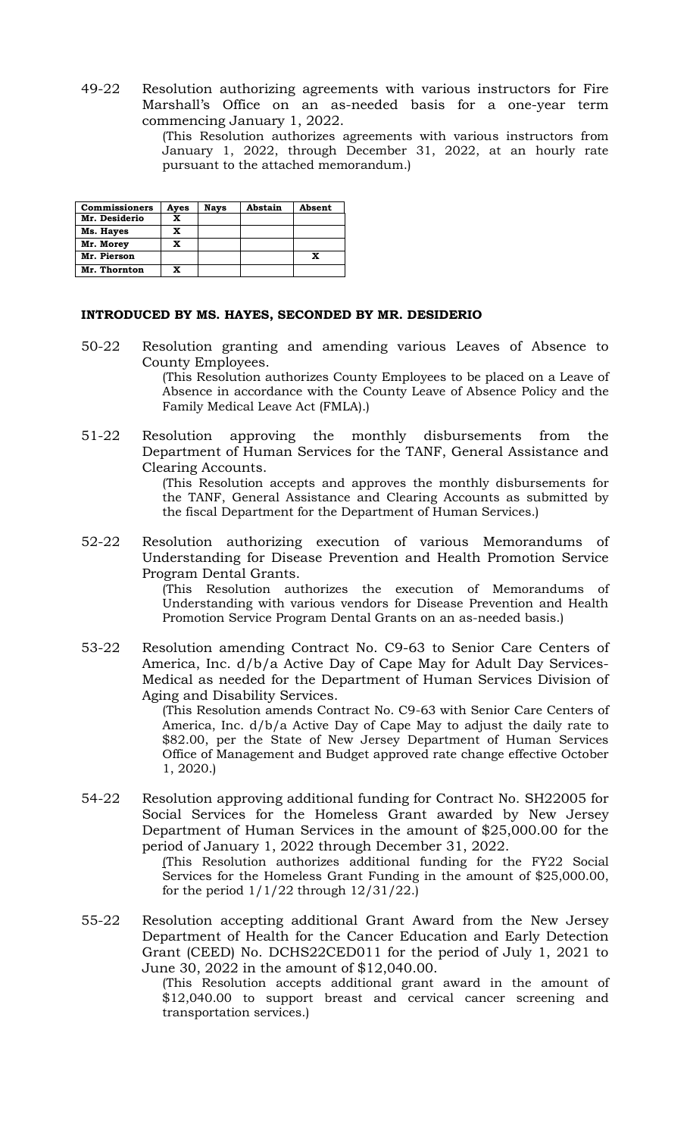49-22 Resolution authorizing agreements with various instructors for Fire Marshall's Office on an as-needed basis for a one-year term commencing January 1, 2022.

> (This Resolution authorizes agreements with various instructors from January 1, 2022, through December 31, 2022, at an hourly rate pursuant to the attached memorandum.)

| <b>Commissioners</b> | Ayes | <b>Nays</b> | Abstain | Absent |
|----------------------|------|-------------|---------|--------|
| Mr. Desiderio        | x    |             |         |        |
| Ms. Hayes            | x    |             |         |        |
| Mr. Morey            | x    |             |         |        |
| Mr. Pierson          |      |             |         |        |
| Mr. Thornton         |      |             |         |        |

#### **INTRODUCED BY MS. HAYES, SECONDED BY MR. DESIDERIO**

50-22 Resolution granting and amending various Leaves of Absence to County Employees.

> (This Resolution authorizes County Employees to be placed on a Leave of Absence in accordance with the County Leave of Absence Policy and the Family Medical Leave Act (FMLA).)

51-22 Resolution approving the monthly disbursements from the Department of Human Services for the TANF, General Assistance and Clearing Accounts.

> (This Resolution accepts and approves the monthly disbursements for the TANF, General Assistance and Clearing Accounts as submitted by the fiscal Department for the Department of Human Services.)

52-22 Resolution authorizing execution of various Memorandums of Understanding for Disease Prevention and Health Promotion Service Program Dental Grants.

> (This Resolution authorizes the execution of Memorandums of Understanding with various vendors for Disease Prevention and Health Promotion Service Program Dental Grants on an as-needed basis.)

53-22 Resolution amending Contract No. C9-63 to Senior Care Centers of America, Inc. d/b/a Active Day of Cape May for Adult Day Services-Medical as needed for the Department of Human Services Division of Aging and Disability Services.

> (This Resolution amends Contract No. C9-63 with Senior Care Centers of America, Inc. d/b/a Active Day of Cape May to adjust the daily rate to \$82.00, per the State of New Jersey Department of Human Services Office of Management and Budget approved rate change effective October 1, 2020.)

54-22 Resolution approving additional funding for Contract No. SH22005 for Social Services for the Homeless Grant awarded by New Jersey Department of Human Services in the amount of \$25,000.00 for the period of January 1, 2022 through December 31, 2022.

> (This Resolution authorizes additional funding for the FY22 Social Services for the Homeless Grant Funding in the amount of \$25,000.00, for the period  $1/1/22$  through  $12/31/22$ .)

55-22 Resolution accepting additional Grant Award from the New Jersey Department of Health for the Cancer Education and Early Detection Grant (CEED) No. DCHS22CED011 for the period of July 1, 2021 to June 30, 2022 in the amount of \$12,040.00.

(This Resolution accepts additional grant award in the amount of \$12,040.00 to support breast and cervical cancer screening and transportation services.)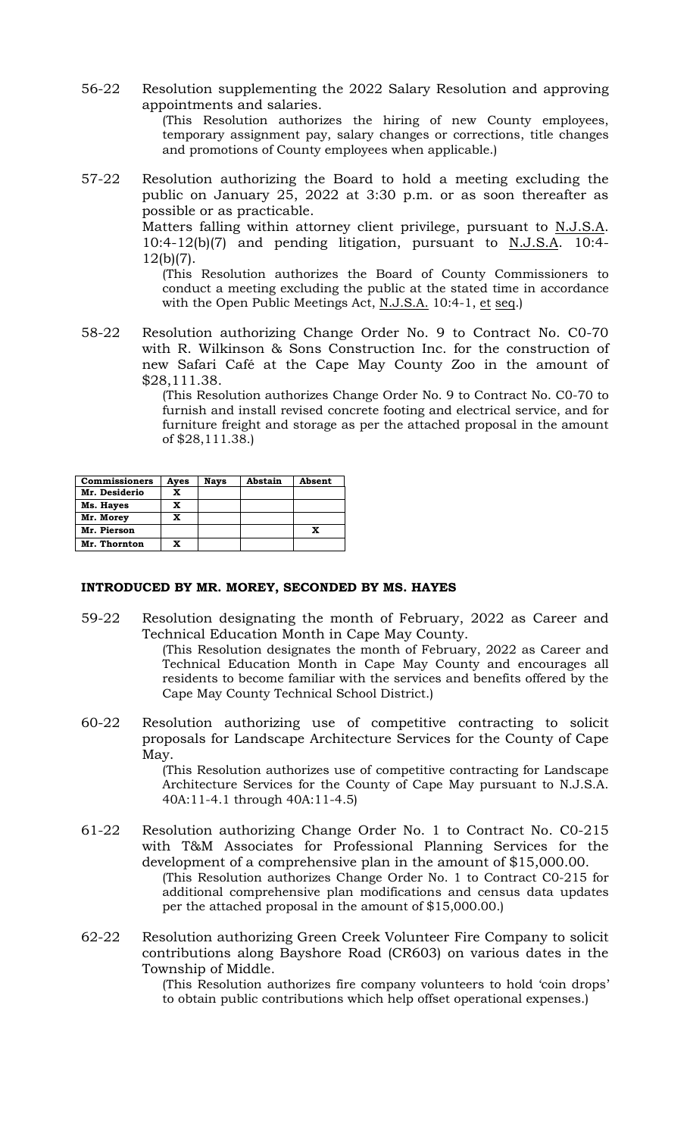56-22 Resolution supplementing the 2022 Salary Resolution and approving appointments and salaries. (This Resolution authorizes the hiring of new County employees,

temporary assignment pay, salary changes or corrections, title changes and promotions of County employees when applicable.)

57-22 Resolution authorizing the Board to hold a meeting excluding the public on January 25, 2022 at 3:30 p.m. or as soon thereafter as possible or as practicable.

Matters falling within attorney client privilege, pursuant to N.J.S.A. 10:4-12(b)(7) and pending litigation, pursuant to N.J.S.A. 10:4- 12(b)(7).

(This Resolution authorizes the Board of County Commissioners to conduct a meeting excluding the public at the stated time in accordance with the Open Public Meetings Act, N.J.S.A. 10:4-1, et seq.)

58-22 Resolution authorizing Change Order No. 9 to Contract No. C0-70 with R. Wilkinson & Sons Construction Inc. for the construction of new Safari Café at the Cape May County Zoo in the amount of \$28,111.38.

> (This Resolution authorizes Change Order No. 9 to Contract No. C0-70 to furnish and install revised concrete footing and electrical service, and for furniture freight and storage as per the attached proposal in the amount of \$28,111.38.)

| <b>Commissioners</b> | Ayes | <b>Nays</b> | Abstain | Absent |
|----------------------|------|-------------|---------|--------|
| Mr. Desiderio        | x    |             |         |        |
| Ms. Hayes            | x    |             |         |        |
| Mr. Morey            | x    |             |         |        |
| Mr. Pierson          |      |             |         | X      |
| Mr. Thornton         | x    |             |         |        |

#### **INTRODUCED BY MR. MOREY, SECONDED BY MS. HAYES**

59-22 Resolution designating the month of February, 2022 as Career and Technical Education Month in Cape May County.

(This Resolution designates the month of February, 2022 as Career and Technical Education Month in Cape May County and encourages all residents to become familiar with the services and benefits offered by the Cape May County Technical School District.)

60-22 Resolution authorizing use of competitive contracting to solicit proposals for Landscape Architecture Services for the County of Cape May.

> (This Resolution authorizes use of competitive contracting for Landscape Architecture Services for the County of Cape May pursuant to N.J.S.A. 40A:11-4.1 through 40A:11-4.5)

- 61-22 Resolution authorizing Change Order No. 1 to Contract No. C0-215 with T&M Associates for Professional Planning Services for the development of a comprehensive plan in the amount of \$15,000.00. (This Resolution authorizes Change Order No. 1 to Contract C0-215 for additional comprehensive plan modifications and census data updates per the attached proposal in the amount of \$15,000.00.)
- 62-22 Resolution authorizing Green Creek Volunteer Fire Company to solicit contributions along Bayshore Road (CR603) on various dates in the Township of Middle.

(This Resolution authorizes fire company volunteers to hold 'coin drops' to obtain public contributions which help offset operational expenses.)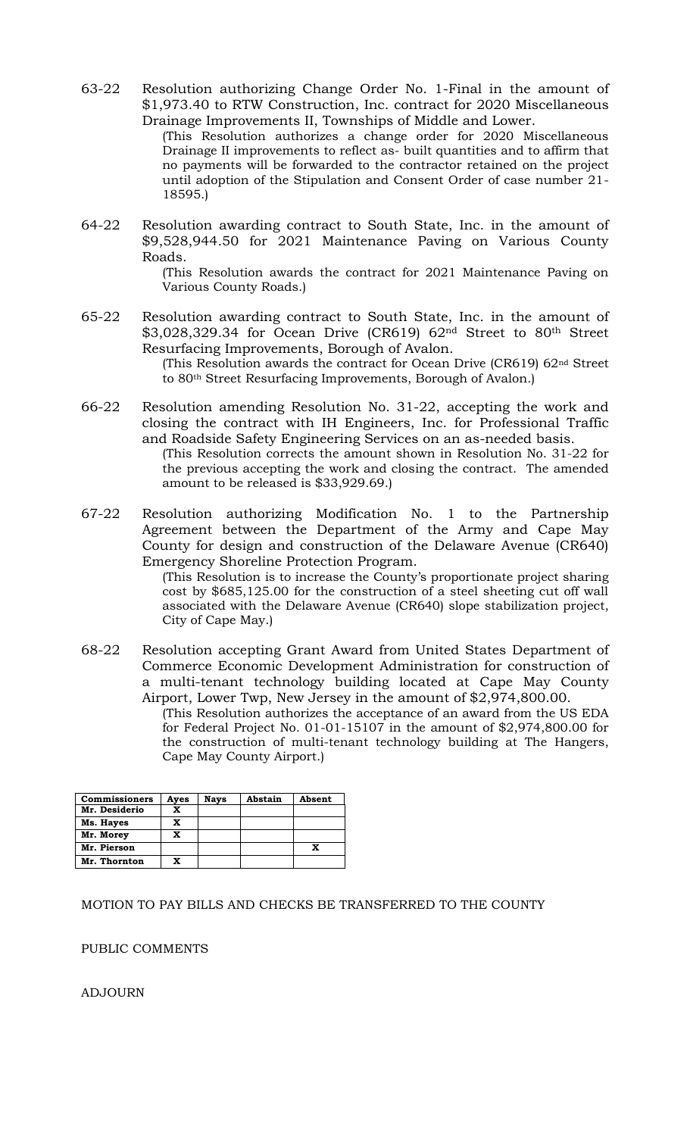63-22 Resolution authorizing Change Order No. 1-Final in the amount of \$1,973.40 to RTW Construction, Inc. contract for 2020 Miscellaneous Drainage Improvements II, Townships of Middle and Lower.

(This Resolution authorizes a change order for 2020 Miscellaneous Drainage II improvements to reflect as- built quantities and to affirm that no payments will be forwarded to the contractor retained on the project until adoption of the Stipulation and Consent Order of case number 21- 18595.)

64-22 Resolution awarding contract to South State, Inc. in the amount of \$9,528,944.50 for 2021 Maintenance Paving on Various County Roads.

(This Resolution awards the contract for 2021 Maintenance Paving on Various County Roads.)

65-22 Resolution awarding contract to South State, Inc. in the amount of \$3,028,329.34 for Ocean Drive (CR619) 62nd Street to 80th Street Resurfacing Improvements, Borough of Avalon. (This Resolution awards the contract for Ocean Drive (CR619) 62nd Street

to 80th Street Resurfacing Improvements, Borough of Avalon.)

- 66-22 Resolution amending Resolution No. 31-22, accepting the work and closing the contract with IH Engineers, Inc. for Professional Traffic and Roadside Safety Engineering Services on an as-needed basis. (This Resolution corrects the amount shown in Resolution No. 31-22 for the previous accepting the work and closing the contract. The amended amount to be released is \$33,929.69.)
- 67-22 Resolution authorizing Modification No. 1 to the Partnership Agreement between the Department of the Army and Cape May County for design and construction of the Delaware Avenue (CR640) Emergency Shoreline Protection Program.

(This Resolution is to increase the County's proportionate project sharing cost by \$685,125.00 for the construction of a steel sheeting cut off wall associated with the Delaware Avenue (CR640) slope stabilization project, City of Cape May.)

68-22 Resolution accepting Grant Award from United States Department of Commerce Economic Development Administration for construction of a multi-tenant technology building located at Cape May County Airport, Lower Twp, New Jersey in the amount of \$2,974,800.00.

(This Resolution authorizes the acceptance of an award from the US EDA for Federal Project No. 01-01-15107 in the amount of \$2,974,800.00 for the construction of multi-tenant technology building at The Hangers, Cape May County Airport.)

| <b>Commissioners</b> | Ayes | <b>Nays</b> | Abstain | Absent |
|----------------------|------|-------------|---------|--------|
| Mr. Desiderio        | x    |             |         |        |
| Ms. Hayes            | x    |             |         |        |
| Mr. Morey            | x    |             |         |        |
| Mr. Pierson          |      |             |         | X      |
| Mr. Thornton         | x    |             |         |        |

## MOTION TO PAY BILLS AND CHECKS BE TRANSFERRED TO THE COUNTY

PUBLIC COMMENTS

ADJOURN